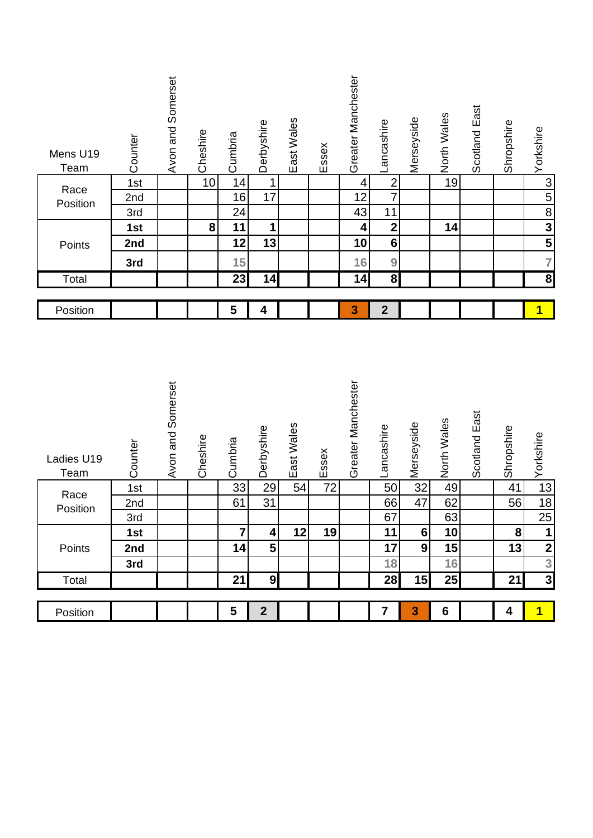| Mens U19<br>Team<br>Race<br>Position<br>Points<br>Total | Counter<br>1st<br>2nd<br>3rd<br>1st<br>2nd<br>3rd | Avon and Somerset | Cheshire<br>10<br>${\bf 8}$ | Cumbria<br>14<br>16<br>24<br>11<br>12<br>15<br>23 | Derbyshire<br>$\mathbf{1}$<br>17<br>1<br>13<br>14 | East Wales | Essex | Greater Manchester<br>4<br>12<br>43<br>4<br>10<br>16<br>$\overline{14}$ | Lancashire<br>$\overline{2}$<br>$\overline{7}$<br>11<br>$\mathbf{2}$<br>$\overline{\bf{6}}$<br>9<br>$\overline{\mathbf{8}}$ | Merseyside     | North Wales<br>19<br>14 | Scotland East | Shropshire | Yorkshire<br>$\frac{3}{5}$ $\frac{3}{5}$ $\frac{3}{5}$<br>$\overline{7}$<br>$\overline{\mathbf{8}}$ |
|---------------------------------------------------------|---------------------------------------------------|-------------------|-----------------------------|---------------------------------------------------|---------------------------------------------------|------------|-------|-------------------------------------------------------------------------|-----------------------------------------------------------------------------------------------------------------------------|----------------|-------------------------|---------------|------------|-----------------------------------------------------------------------------------------------------|
|                                                         |                                                   |                   |                             |                                                   |                                                   |            |       |                                                                         |                                                                                                                             |                |                         |               |            |                                                                                                     |
| Position                                                |                                                   |                   |                             | 5                                                 | 4                                                 |            |       | 3                                                                       | $\mathbf{2}$                                                                                                                |                |                         |               |            | $\blacklozenge$                                                                                     |
| Ladies U19<br>Team                                      | Counter                                           | Avon and Somerset | Cheshire                    | Cumbria                                           | Derbyshire                                        | East Wales | Essex | Greater Manchester                                                      | Lancashire                                                                                                                  | w Merseyside   | North Wales             | Scotland East | Shropshire | Yorkshire                                                                                           |
| Race                                                    | 1st                                               |                   |                             | $\overline{33}$                                   | 29                                                | 54         | 72    |                                                                         | 50                                                                                                                          |                | 49                      |               | 41         | 13                                                                                                  |
| Position                                                | 2nd                                               |                   |                             | 61                                                | $\overline{31}$                                   |            |       |                                                                         | 66                                                                                                                          | 47             | 62                      |               | 56         | 18                                                                                                  |
|                                                         | 3rd                                               |                   |                             |                                                   |                                                   |            |       |                                                                         | 67                                                                                                                          |                | 63                      |               |            | $\overline{25}$                                                                                     |
|                                                         | 1st                                               |                   |                             | $\overline{7}$                                    | 4                                                 | 12         | 19    |                                                                         | 11                                                                                                                          | $6\phantom{1}$ | 10                      |               | 8          | 1                                                                                                   |
| Points                                                  | 2nd                                               |                   |                             | 14                                                | 5                                                 |            |       |                                                                         | 17                                                                                                                          | 9              | 15                      |               | 13         | $\frac{2}{3}$                                                                                       |
|                                                         | 3rd                                               |                   |                             |                                                   |                                                   |            |       |                                                                         | 18                                                                                                                          |                | 16                      |               |            |                                                                                                     |
| Total                                                   |                                                   |                   |                             | 21                                                | $\boldsymbol{9}$                                  |            |       |                                                                         | 28                                                                                                                          | 15             | 25                      |               | 21         | $\overline{\mathbf{3}}$                                                                             |
| Position                                                |                                                   |                   |                             | 5                                                 | $\mathbf{2}$                                      |            |       |                                                                         | $\overline{\mathbf{7}}$                                                                                                     | 3              | $6\phantom{1}$          |               | 4          | $\overline{1}$                                                                                      |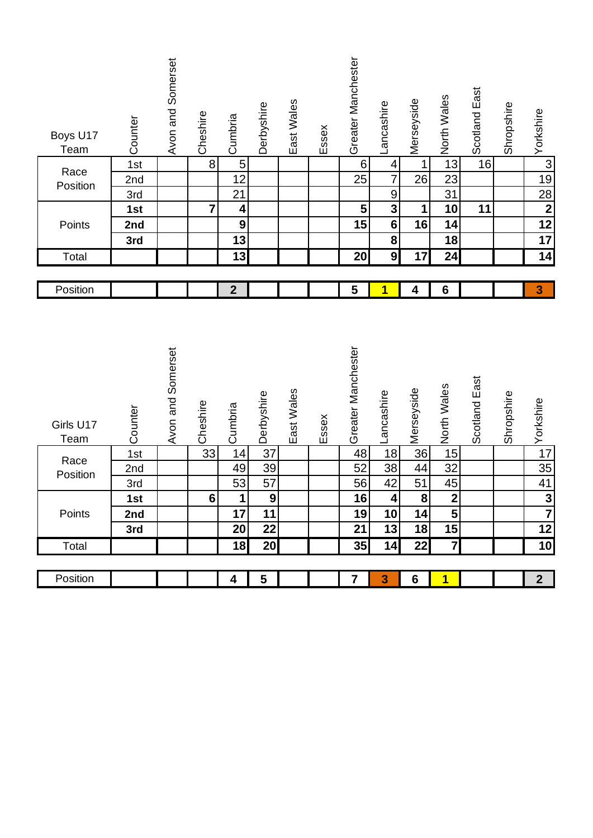| Boys U17<br><b>Team</b> | Counter | Avon and Somerset | Cheshire       | Cumbria          | Derbyshire     | East Wales | Essex | Greater Manchester | Lancashire              | Merseyside              | North Wales             | Scotland East | Shropshire | Yorkshire               |
|-------------------------|---------|-------------------|----------------|------------------|----------------|------------|-------|--------------------|-------------------------|-------------------------|-------------------------|---------------|------------|-------------------------|
| Race                    | 1st     |                   | $\bf 8$        | $\sqrt{5}$       |                |            |       | $\sqrt{6}$         | 4                       | 1                       | 13                      | 16            |            | $\overline{3}$          |
| Position                | 2nd     |                   |                | 12               |                |            |       | 25                 | $\overline{7}$          | 26                      | 23                      |               |            | 19                      |
|                         | 3rd     |                   |                | 21               |                |            |       |                    | $\overline{9}$          |                         | 31                      |               |            | $\frac{28}{2}$          |
|                         | 1st     |                   | $\overline{7}$ | 4                |                |            |       | $5\phantom{.}$     | $\overline{\mathbf{3}}$ | 1                       | 10                      | 11            |            |                         |
| Points                  | 2nd     |                   |                | $\boldsymbol{9}$ |                |            |       | 15                 | $\bf 6$                 | 16                      | 14                      |               |            | $\overline{12}$         |
|                         | 3rd     |                   |                | 13               |                |            |       |                    | ${\bf 8}$               |                         | 18                      |               |            | $\overline{17}$         |
| Total                   |         |                   |                | 13               |                |            |       | <b>20</b>          | $\overline{9}$          | 17                      | 24                      |               |            | 14                      |
|                         |         |                   |                |                  |                |            |       |                    |                         |                         |                         |               |            |                         |
| Position                |         |                   |                | $\mathbf{2}$     |                |            |       | 5                  | 1                       | 4                       | $6\phantom{1}6$         |               |            | 3                       |
|                         |         |                   |                |                  |                |            |       |                    |                         |                         |                         |               |            |                         |
| Girls U17<br>Team       | Counter | Avon and Somerset | Cheshire       | Cumbria          | Derbyshire     | East Wales | Essex | Greater Manchester | Lancashire              | Merseyside              | North Wales             | Scotland East | Shropshire | Yorkshire               |
|                         | 1st     |                   | 33             | 14               | 37             |            |       | 48                 | 18                      | $\overline{36}$         | 15                      |               |            | 17                      |
| Race<br>Position        | 2nd     |                   |                | 49               | 39             |            |       | 52                 | 38                      | 44                      | 32                      |               |            | 35                      |
|                         | 3rd     |                   |                | 53               | 57             |            |       | 56                 | 42                      | 51                      | 45                      |               |            | 41                      |
|                         | 1st     |                   | $6\phantom{a}$ | $\mathbf{1}$     | $\overline{9}$ |            |       | 16                 | $\overline{\mathbf{4}}$ | $\overline{\mathbf{8}}$ | $\overline{\mathbf{2}}$ |               |            | $\overline{\mathbf{3}}$ |
| Points                  | 2nd     |                   |                | 17               | 11             |            |       | 19                 | 10                      | 14                      | 5                       |               |            | $\overline{7}$          |
|                         | 3rd     |                   |                | 20               | 22             |            |       | 21                 | 13                      | 18                      | 15                      |               |            | 12                      |
| Total                   |         |                   |                | 18               | 20             |            |       | 35                 | 14                      | 22                      | $\overline{7}$          |               |            | 10                      |